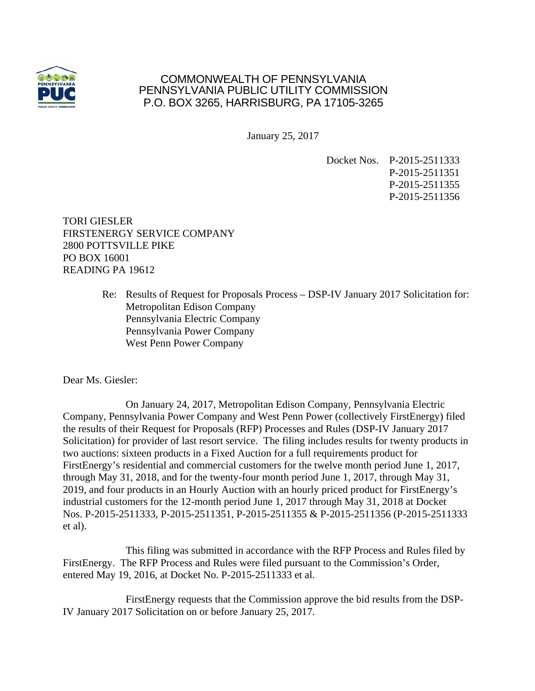

## COMMONWEALTH OF PENNSYLVANIA PENNSYLVANIA PUBLIC UTILITY COMMISSION P.O. BOX 3265, HARRISBURG, PA 17105-3265

January 25, 2017

Docket Nos. P-2015-2511333 P-2015-2511351 P-2015-2511355 P-2015-2511356

TORI GIESLER FIRSTENERGY SERVICE COMPANY 2800 POTTSVILLE PIKE PO BOX 16001 READING PA 19612

> Re: Results of Request for Proposals Process – DSP-IV January 2017 Solicitation for: Metropolitan Edison Company Pennsylvania Electric Company Pennsylvania Power Company West Penn Power Company

Dear Ms. Giesler:

 On January 24, 2017, Metropolitan Edison Company, Pennsylvania Electric Company, Pennsylvania Power Company and West Penn Power (collectively FirstEnergy) filed the results of their Request for Proposals (RFP) Processes and Rules (DSP-IV January 2017 Solicitation) for provider of last resort service. The filing includes results for twenty products in two auctions: sixteen products in a Fixed Auction for a full requirements product for FirstEnergy's residential and commercial customers for the twelve month period June 1, 2017, through May 31, 2018, and for the twenty-four month period June 1, 2017, through May 31, 2019, and four products in an Hourly Auction with an hourly priced product for FirstEnergy's industrial customers for the 12-month period June 1, 2017 through May 31, 2018 at Docket Nos. P-2015-2511333, P-2015-2511351, P-2015-2511355 & P-2015-2511356 (P-2015-2511333 et al).

 This filing was submitted in accordance with the RFP Process and Rules filed by FirstEnergy. The RFP Process and Rules were filed pursuant to the Commission's Order, entered May 19, 2016, at Docket No. P-2015-2511333 et al.

 FirstEnergy requests that the Commission approve the bid results from the DSP-IV January 2017 Solicitation on or before January 25, 2017.